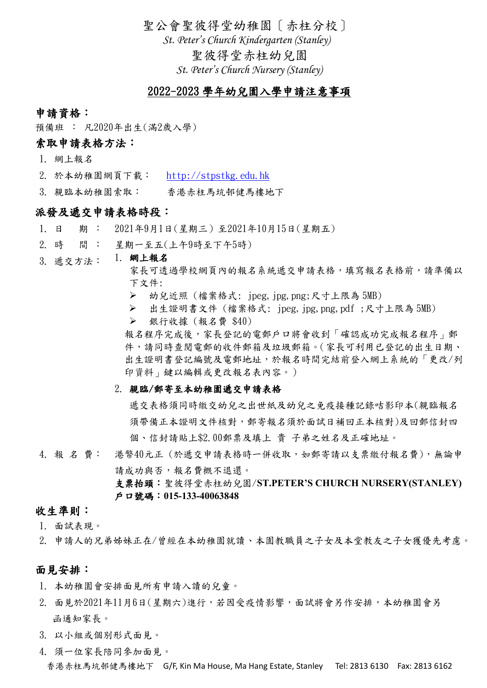聖公會聖彼得堂幼稚園〔赤柱分校〕

*St. Peter's Church Kindergarten (Stanley)*

聖彼得堂赤柱幼兒園

*St. Peter's Church Nursery (Stanley)*

# 2022-2023 學年幼兒園入學申請注意事項

#### 申請資格:

預備班 : 凡2020年出生(滿2歲入學)

# 索取申請表格方法:

- 1. 網上報名
- 2. 於本幼稚園網頁下載: http://stpstkg.edu.hk
- 3. 親臨本幼稚園索取: 香港赤柱馬坑邨健馬樓地下

## 派發及遞交申請表格時段:

- 1. 日 期 : 2021年9月1日(星期三)至2021年10月15日(星期五)
- 2. 時 間 : 星期一至五(上午9時至下午5時)
- 3. 遞交方法: 1. 網上報名
	- 家長可透過學校網頁內的報名系統遞交申請表格,填寫報名表格前,請準備以 下文件:
	- ➢ 幼兒近照 (檔案格式: jpeg,jpg,png;尺寸上限為 5MB)
	- ➢ 出生證明書文件 (檔案格式: jpeg,jpg,png,pdf ;尺寸上限為 5MB)
	- ➢ 銀行收據 (報名費 \$40)

報名程序完成後,家長登記的電郵戶口將會收到「確認成功完成報名程序」郵 件,請同時查閱電郵的收件郵箱及垃圾郵箱。(家長可利用已登記的出生日期、 出生證明書登記編號及電郵地址,於報名時間完結前登入網上系統的「更改/列 印資料」鍵以編輯或更改報名表內容。)

#### 2. 親臨/郵寄至本幼稚園遞交申請表格

遞交表格須同時繳交幼兒之出世紙及幼兒之免疫接種記錄咭影印本(親臨報名 須帶備正本證明文件核對,郵寄報名須於面試日補回正本核對)及回郵信封四 個、信封請貼上\$2.00郵票及填上 貴 子弟之姓名及正確地址。

4. 報 名 費: 港幣40元正 (於遞交申請表格時一併收取,如郵寄請以支票繳付報名費),無論申 請成功與否,報名費概不退還。 支票抬頭:聖彼得堂赤柱幼兒園/**ST.PETER'S CHURCH NURSERY(STANLEY)** 戶口號碼:**015-133-40063848**

### 收生準則:

- 1. 面試表現。
- 2. 申請人的兄弟姊妹正在/曾經在本幼稚園就讀、本園教職員之子女及本堂教友之子女獲優先考慮。

#### 面見安排:

- 1. 本幼稚園會安排面見所有申請入讀的兒童。
- 2. 面見於2021年11月6日(星期六)進行,若因受疫情影響,面試將會另作安排,本幼稚園會另 函通知家長。
- 3. 以小組或個別形式面見。
- 4. 須一位家長陪同參加面見。

香港赤柱馬坑邨健馬樓地下 G/F, Kin Ma House, Ma Hang Estate, Stanley Tel: 2813 6130 Fax: 2813 6162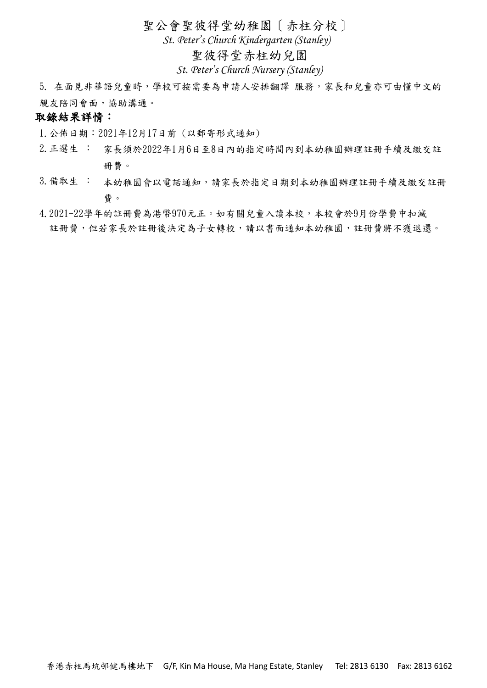聖公會聖彼得堂幼稚園〔赤柱分校〕

*St. Peter's Church Kindergarten (Stanley)*

## 聖彼得堂赤柱幼兒園

*St. Peter's Church Nursery (Stanley)*

5. 在面見非華語兒童時,學校可按需要為申請人安排翻譯 服務,家長和兒童亦可由懂中文的 親友陪同會面,協助溝通。

## 取錄結果詳情:

1.公佈日期:2021年12月17日前 (以郵寄形式通知)

- 2.正選生 : 家長須於2022年1月6日至8日內的指定時間內到本幼稚園辦理註冊手續及繳交註 冊費。
- 3.備取生 : 本幼稚園會以電話通知,請家長於指定日期到本幼稚園辦理註冊手續及繳交註冊 費。
- 4.2021-22學年的註冊費為港幣970元正。如有關兒童入讀本校,本校會於9月份學費中扣減 註冊費,但若家長於註冊後決定為子女轉校,請以書面通知本幼稚園,註冊費將不獲退還。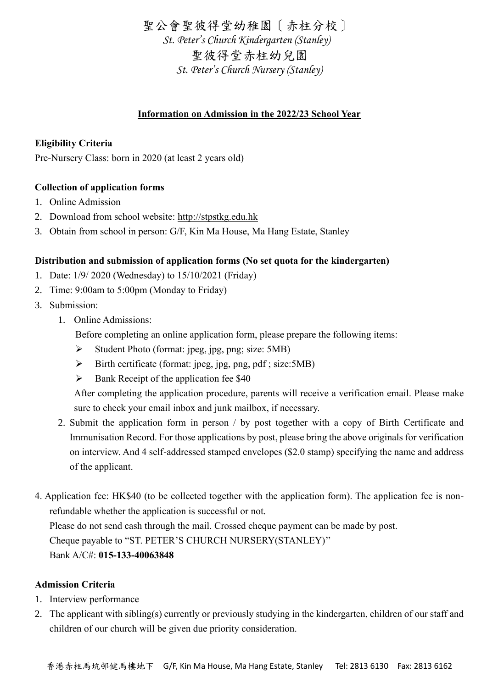聖公會聖彼得堂幼稚園〔赤柱分校〕 *St. Peter's Church Kindergarten (Stanley)* 聖彼得堂赤柱幼兒園 *St. Peter's Church Nursery (Stanley)*

## **Information on Admission in the 2022/23 School Year**

## **Eligibility Criteria**

Pre-Nursery Class: born in 2020 (at least 2 years old)

### **Collection of application forms**

- 1. Online Admission
- 2. Download from school website: http://stpstkg.edu.hk
- 3. Obtain from school in person: G/F, Kin Ma House, Ma Hang Estate, Stanley

### **Distribution and submission of application forms (No set quota for the kindergarten)**

- 1. Date: 1/9/ 2020 (Wednesday) to 15/10/2021 (Friday)
- 2. Time: 9:00am to 5:00pm (Monday to Friday)
- 3. Submission:
	- 1. Online Admissions:

Before completing an online application form, please prepare the following items:

- ➢ Student Photo (format: jpeg, jpg, png; size: 5MB)
- $\triangleright$  Birth certificate (format: jpeg, jpg, png, pdf; size:5MB)
- $\triangleright$  Bank Receipt of the application fee \$40

 After completing the application procedure, parents will receive a verification email. Please make sure to check your email inbox and junk mailbox, if necessary.

- 2. Submit the application form in person / by post together with a copy of Birth Certificate and Immunisation Record. For those applications by post, please bring the above originals for verification on interview. And 4 self-addressed stamped envelopes (\$2.0 stamp) specifying the name and address of the applicant.
- 4. Application fee: HK\$40 (to be collected together with the application form). The application fee is nonrefundable whether the application is successful or not. Please do not send cash through the mail. Crossed cheque payment can be made by post. Cheque payable to "ST. PETER'S CHURCH NURSERY(STANLEY)'' Bank A/C#: **015-133-40063848**

### **Admission Criteria**

- 1. Interview performance
- 2. The applicant with sibling(s) currently or previously studying in the kindergarten, children of our staff and children of our church will be given due priority consideration.